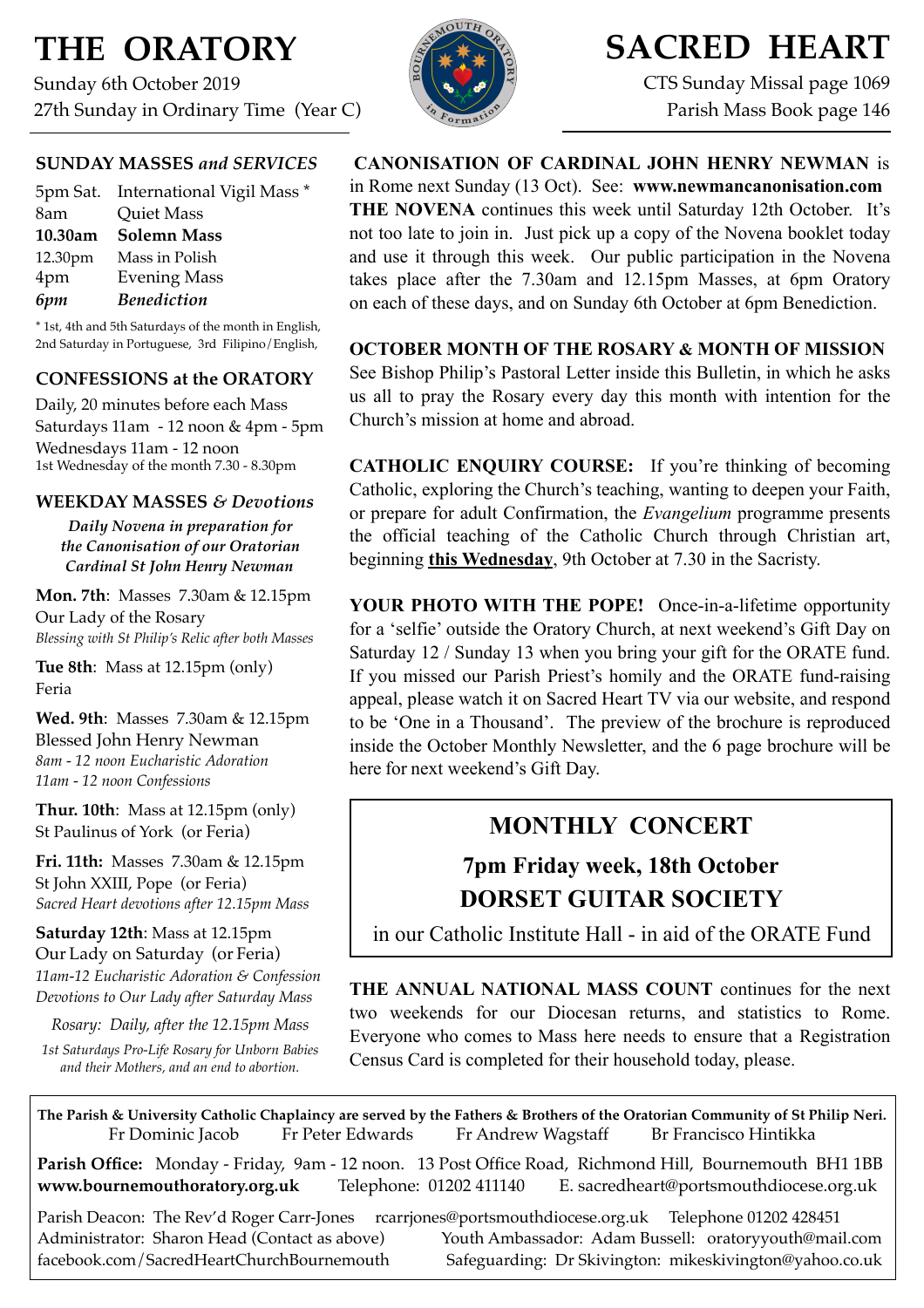# **THE ORATORY**

Sunday 6th October 2019 27th Sunday in Ordinary Time (Year C)



# **SACRED HEART**

CTS Sunday Missal page 1069 Parish Mass Book page 146

### **SUNDAY MASSES** *and SERVICES*

| 5pm Sat. International Vigil Mass * |
|-------------------------------------|
| Quiet Mass                          |
| <b>Solemn Mass</b>                  |
| Mass in Polish                      |
| <b>Evening Mass</b>                 |
| <b>Benediction</b>                  |
|                                     |

\* 1st, 4th and 5th Saturdays of the month in English, 2nd Saturday in Portuguese, 3rd Filipino/English,

### **CONFESSIONS at the ORATORY**

Daily, 20 minutes before each Mass Saturdays 11am - 12 noon & 4pm - 5pm Wednesdays 11am - 12 noon 1st Wednesday of the month 7.30 - 8.30pm

### **WEEKDAY MASSES** *& Devotions*

*Daily Novena in preparation for the Canonisation of our Oratorian Cardinal St John Henry Newman*

**Mon. 7th**: Masses 7.30am & 12.15pm Our Lady of the Rosary *Blessing with St Philip's Relic after both Masses*

**Tue 8th**: Mass at 12.15pm (only) Feria

**Wed. 9th**: Masses7.30am & 12.15pm Blessed John Henry Newman *8am - 12 noon Eucharistic Adoration 11am - 12 noon Confessions*

**Thur. 10th**: Mass at 12.15pm (only) St Paulinus of York (or Feria)

**Fri. 11th:** Masses 7.30am & 12.15pm St John XXIII, Pope (or Feria) *Sacred Heart devotions after 12.15pm Mass*

**Saturday 12th**: Mass at 12.15pm Our Lady on Saturday (or Feria) *11am-12 Eucharistic Adoration & Confession Devotions to Our Lady after Saturday Mass*

*Rosary: Daily, after the 12.15pm Mass*

*1st Saturdays Pro-Life Rosary for Unborn Babies and their Mothers, and an end to abortion.* 

**CANONISATION OF CARDINAL JOHN HENRY NEWMAN** is in Rome next Sunday (13 Oct). See: **www.newmancanonisation.com THE NOVENA** continues this week until Saturday 12th October. It's not too late to join in. Just pick up a copy of the Novena booklet today and use it through this week. Our public participation in the Novena takes place after the 7.30am and 12.15pm Masses, at 6pm Oratory on each of these days, and on Sunday 6th October at 6pm Benediction.

**OCTOBER MONTH OF THE ROSARY & MONTH OF MISSION**  See Bishop Philip's Pastoral Letter inside this Bulletin, in which he asks us all to pray the Rosary every day this month with intention for the Church's mission at home and abroad.

**CATHOLIC ENQUIRY COURSE:** If you're thinking of becoming Catholic, exploring the Church's teaching, wanting to deepen your Faith, or prepare for adult Confirmation, the *Evangelium* programme presents the official teaching of the Catholic Church through Christian art, beginning **this Wednesday**, 9th October at 7.30 in the Sacristy.

**YOUR PHOTO WITH THE POPE!** Once-in-a-lifetime opportunity for a 'selfie' outside the Oratory Church, at next weekend's Gift Day on Saturday 12 / Sunday 13 when you bring your gift for the ORATE fund. If you missed our Parish Priest's homily and the ORATE fund-raising appeal, please watch it on Sacred Heart TV via our website, and respond to be 'One in a Thousand'. The preview of the brochure is reproduced inside the October Monthly Newsletter, and the 6 page brochure will be here for next weekend's Gift Day.

# **MONTHLY CONCERT**

# **7pm Friday week, 18th October DORSET GUITAR SOCIETY**

in our Catholic Institute Hall - in aid of the ORATE Fund

**THE ANNUAL NATIONAL MASS COUNT** continues for the next two weekends for our Diocesan returns, and statistics to Rome. Everyone who comes to Mass here needs to ensure that a Registration Census Card is completed for their household today, please.

**The Parish & University Catholic Chaplaincy are served by the Fathers & Brothers of the Oratorian Community of St Philip Neri.** Fr Dominic Jacob Fr Peter Edwards Fr Andrew Wagstaff Br Francisco Hintikka

**Parish Office:** Monday - Friday, 9am - 12 noon. 13 Post Office Road, Richmond Hill, Bournemouth BH1 1BB **[www.bournemouthoratory.org.uk](http://www.bournemoithoratory.org.uk)** Telephone: 01202 411140 E. [sacredheart@portsmouthdiocese.org.uk](mailto:sacredheart@portsmouthdiocese.org.uk)

Parish Deacon: The Rev'd Roger Carr-Jones [rcarrjones@portsmouthdiocese.org.uk](mailto:rcarrjones@portsmouthdiocese.org.uk) Telephone 01202 428451 Administrator: Sharon Head (Contact as above) Youth Ambassador: Adam Bussell: [oratoryyouth@mail.com](http://oratoryyouth.mail.com) [facebook.com/SacredHeartChurchBournemouth](http://facebook.com/SaccredHeartChurchBournemouth) Safeguarding: Dr Skivington: mikeskivington@yahoo.co.uk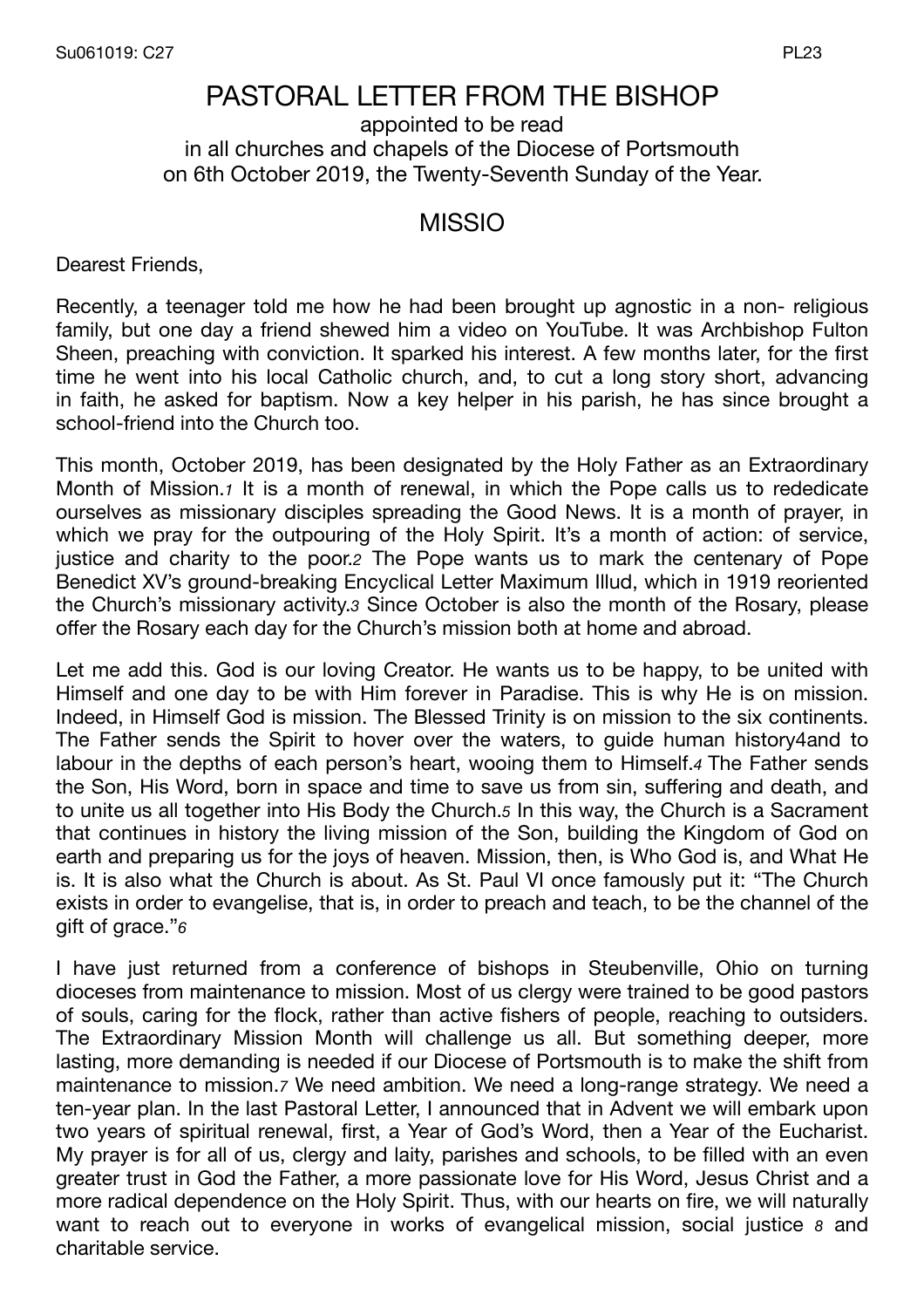## PASTORAL LETTER FROM THE BISHOP appointed to be read in all churches and chapels of the Diocese of Portsmouth on 6th October 2019, the Twenty-Seventh Sunday of the Year.

## MISSIO

Dearest Friends,

Recently, a teenager told me how he had been brought up agnostic in a non- religious family, but one day a friend shewed him a video on YouTube. It was Archbishop Fulton Sheen, preaching with conviction. It sparked his interest. A few months later, for the first time he went into his local Catholic church, and, to cut a long story short, advancing in faith, he asked for baptism. Now a key helper in his parish, he has since brought a school-friend into the Church too.

This month, October 2019, has been designated by the Holy Father as an Extraordinary Month of Mission.*1* It is a month of renewal, in which the Pope calls us to rededicate ourselves as missionary disciples spreading the Good News. It is a month of prayer, in which we pray for the outpouring of the Holy Spirit. It's a month of action: of service, justice and charity to the poor.*2* The Pope wants us to mark the centenary of Pope Benedict XV's ground-breaking Encyclical Letter Maximum Illud, which in 1919 reoriented the Church's missionary activity.*3* Since October is also the month of the Rosary, please offer the Rosary each day for the Church's mission both at home and abroad.

Let me add this. God is our loving Creator. He wants us to be happy, to be united with Himself and one day to be with Him forever in Paradise. This is why He is on mission. Indeed, in Himself God is mission. The Blessed Trinity is on mission to the six continents. The Father sends the Spirit to hover over the waters, to guide human history4and to labour in the depths of each person's heart, wooing them to Himself.*4* The Father sends the Son, His Word, born in space and time to save us from sin, suffering and death, and to unite us all together into His Body the Church.*5* In this way, the Church is a Sacrament that continues in history the living mission of the Son, building the Kingdom of God on earth and preparing us for the joys of heaven. Mission, then, is Who God is, and What He is. It is also what the Church is about. As St. Paul VI once famously put it: "The Church exists in order to evangelise, that is, in order to preach and teach, to be the channel of the gift of grace."*6*

I have just returned from a conference of bishops in Steubenville, Ohio on turning dioceses from maintenance to mission. Most of us clergy were trained to be good pastors of souls, caring for the flock, rather than active fishers of people, reaching to outsiders. The Extraordinary Mission Month will challenge us all. But something deeper, more lasting, more demanding is needed if our Diocese of Portsmouth is to make the shift from maintenance to mission.*7* We need ambition. We need a long-range strategy. We need a ten-year plan. In the last Pastoral Letter, I announced that in Advent we will embark upon two years of spiritual renewal, first, a Year of God's Word, then a Year of the Eucharist. My prayer is for all of us, clergy and laity, parishes and schools, to be filled with an even greater trust in God the Father, a more passionate love for His Word, Jesus Christ and a more radical dependence on the Holy Spirit. Thus, with our hearts on fire, we will naturally want to reach out to everyone in works of evangelical mission, social justice *8* and charitable service.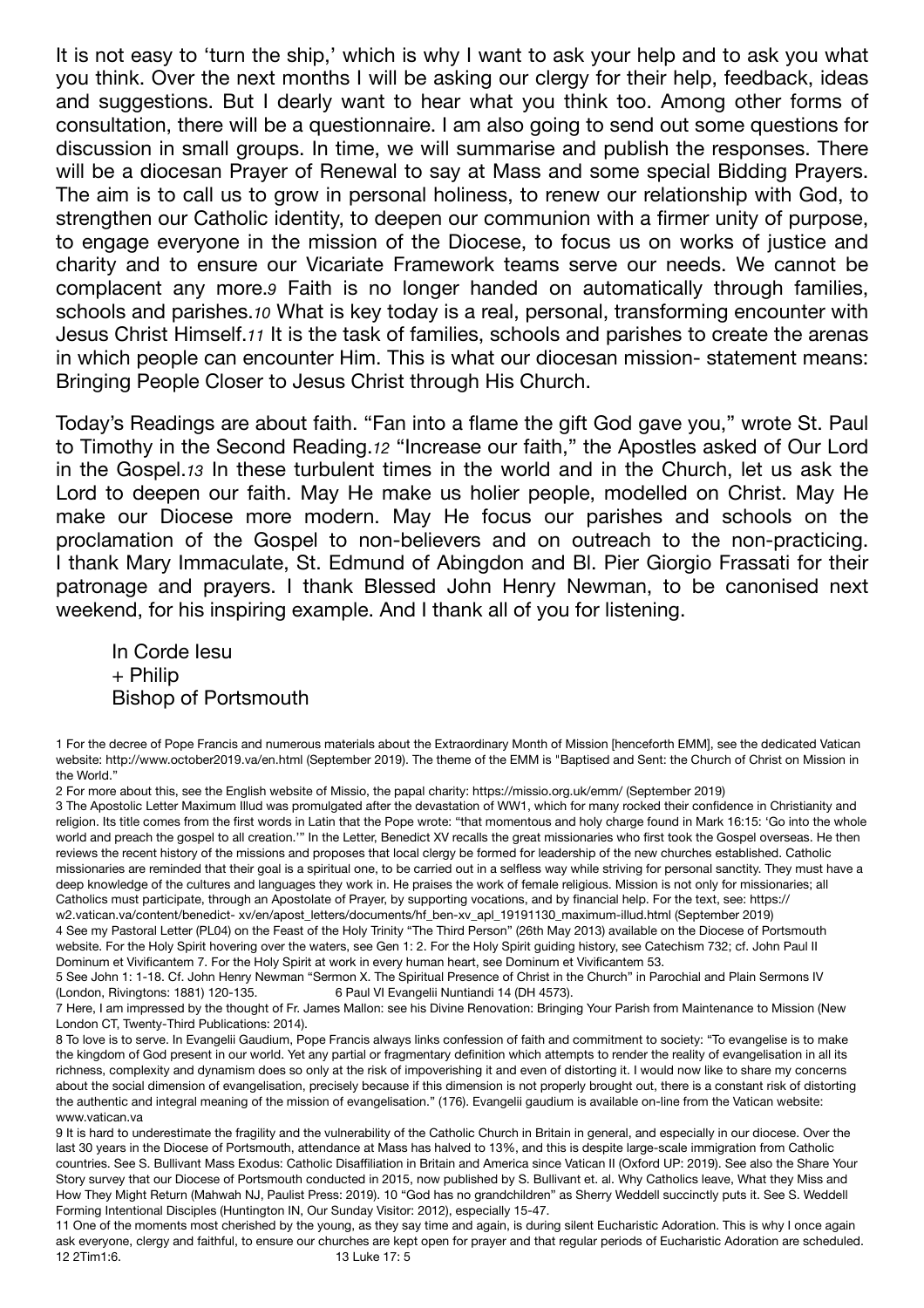It is not easy to 'turn the ship,' which is why I want to ask your help and to ask you what you think. Over the next months I will be asking our clergy for their help, feedback, ideas and suggestions. But I dearly want to hear what you think too. Among other forms of consultation, there will be a questionnaire. I am also going to send out some questions for discussion in small groups. In time, we will summarise and publish the responses. There will be a diocesan Prayer of Renewal to say at Mass and some special Bidding Prayers. The aim is to call us to grow in personal holiness, to renew our relationship with God, to strengthen our Catholic identity, to deepen our communion with a firmer unity of purpose, to engage everyone in the mission of the Diocese, to focus us on works of justice and charity and to ensure our Vicariate Framework teams serve our needs. We cannot be complacent any more.*9* Faith is no longer handed on automatically through families, schools and parishes.*10* What is key today is a real, personal, transforming encounter with Jesus Christ Himself.*11* It is the task of families, schools and parishes to create the arenas in which people can encounter Him. This is what our diocesan mission- statement means: Bringing People Closer to Jesus Christ through His Church.

Today's Readings are about faith. "Fan into a flame the gift God gave you," wrote St. Paul to Timothy in the Second Reading.*12* "Increase our faith," the Apostles asked of Our Lord in the Gospel.*13* In these turbulent times in the world and in the Church, let us ask the Lord to deepen our faith. May He make us holier people, modelled on Christ. May He make our Diocese more modern. May He focus our parishes and schools on the proclamation of the Gospel to non-believers and on outreach to the non-practicing. I thank Mary Immaculate, St. Edmund of Abingdon and Bl. Pier Giorgio Frassati for their patronage and prayers. I thank Blessed John Henry Newman, to be canonised next weekend, for his inspiring example. And I thank all of you for listening.

In Corde Iesu + Philip Bishop of Portsmouth

1 For the decree of Pope Francis and numerous materials about the Extraordinary Month of Mission [henceforth EMM], see the dedicated Vatican website: http://www.october2019.va/en.html (September 2019). The theme of the EMM is "Baptised and Sent: the Church of Christ on Mission in the World."

2 For more about this, see the English website of Missio, the papal charity: https://missio.org.uk/emm/ (September 2019)

3 The Apostolic Letter Maximum Illud was promulgated after the devastation of WW1, which for many rocked their confidence in Christianity and religion. Its title comes from the first words in Latin that the Pope wrote: "that momentous and holy charge found in Mark 16:15: 'Go into the whole world and preach the gospel to all creation."" In the Letter, Benedict XV recalls the great missionaries who first took the Gospel overseas. He then reviews the recent history of the missions and proposes that local clergy be formed for leadership of the new churches established. Catholic missionaries are reminded that their goal is a spiritual one, to be carried out in a selfless way while striving for personal sanctity. They must have a deep knowledge of the cultures and languages they work in. He praises the work of female religious. Mission is not only for missionaries; all Catholics must participate, through an Apostolate of Prayer, by supporting vocations, and by financial help. For the text, see: https:// w2.vatican.va/content/benedict- xv/en/apost\_letters/documents/hf\_ben-xv\_apl\_19191130\_maximum-illud.html (September 2019) 4 See my Pastoral Letter (PL04) on the Feast of the Holy Trinity "The Third Person" (26th May 2013) available on the Diocese of Portsmouth website. For the Holy Spirit hovering over the waters, see Gen 1: 2. For the Holy Spirit guiding history, see Catechism 732; cf. John Paul II Dominum et Vivificantem 7. For the Holy Spirit at work in every human heart, see Dominum et Vivificantem 53.

5 See John 1: 1-18. Cf. John Henry Newman "Sermon X. The Spiritual Presence of Christ in the Church" in Parochial and Plain Sermons IV (London, Rivingtons: 1881) 120-135. 6 Paul VI Evangelii Nuntiandi 14 (DH 4573).

7 Here, I am impressed by the thought of Fr. James Mallon: see his Divine Renovation: Bringing Your Parish from Maintenance to Mission (New London CT, Twenty-Third Publications: 2014).

8 To love is to serve. In Evangelii Gaudium, Pope Francis always links confession of faith and commitment to society: "To evangelise is to make the kingdom of God present in our world. Yet any partial or fragmentary definition which attempts to render the reality of evangelisation in all its richness, complexity and dynamism does so only at the risk of impoverishing it and even of distorting it. I would now like to share my concerns about the social dimension of evangelisation, precisely because if this dimension is not properly brought out, there is a constant risk of distorting the authentic and integral meaning of the mission of evangelisation." (176). Evangelii gaudium is available on-line from the Vatican website: www.vatican.va

9 It is hard to underestimate the fragility and the vulnerability of the Catholic Church in Britain in general, and especially in our diocese. Over the last 30 years in the Diocese of Portsmouth, attendance at Mass has halved to 13%, and this is despite large-scale immigration from Catholic countries. See S. Bullivant Mass Exodus: Catholic Disaffiliation in Britain and America since Vatican II (Oxford UP: 2019). See also the Share Your Story survey that our Diocese of Portsmouth conducted in 2015, now published by S. Bullivant et. al. Why Catholics leave, What they Miss and How They Might Return (Mahwah NJ, Paulist Press: 2019). 10 "God has no grandchildren" as Sherry Weddell succinctly puts it. See S. Weddell Forming Intentional Disciples (Huntington IN, Our Sunday Visitor: 2012), especially 15-47.

11 One of the moments most cherished by the young, as they say time and again, is during silent Eucharistic Adoration. This is why I once again ask everyone, clergy and faithful, to ensure our churches are kept open for prayer and that regular periods of Eucharistic Adoration are scheduled. 12 2Tim1:6. 13 Luke 17: 5